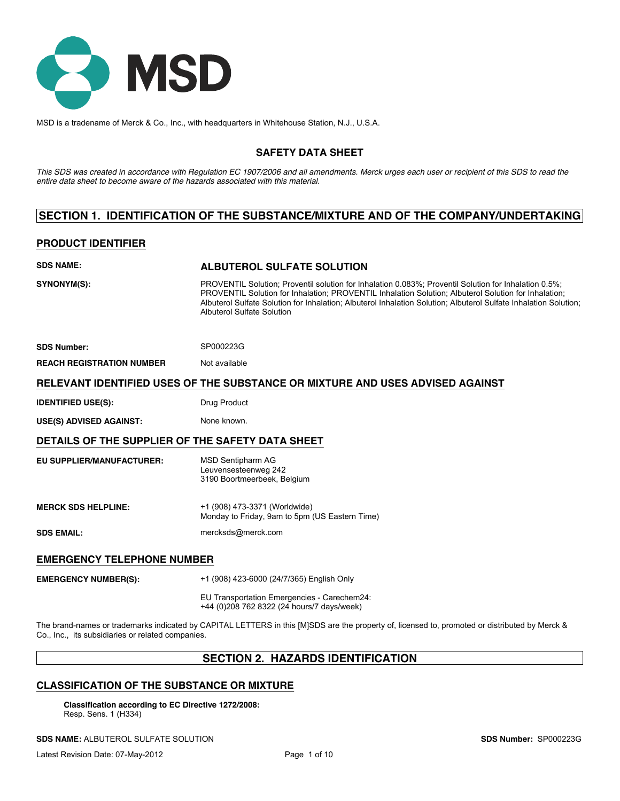

MSD is a tradename of Merck & Co., Inc., with headquarters in Whitehouse Station, N.J., U.S.A.

# **SAFETY DATA SHEET**

*This SDS was created in accordance with Regulation EC 1907/2006 and all amendments. Merck urges each user or recipient of this SDS to read the entire data sheet to become aware of the hazards associated with this material.*

# **SECTION 1. IDENTIFICATION OF THE SUBSTANCE/MIXTURE AND OF THE COMPANY/UNDERTAKING**

# **PRODUCT IDENTIFIER**

| <b>SDS NAME:</b>                                 | ALBUTEROL SULFATE SOLUTION                                                                                                                                                                                                                                                                                                                                      |
|--------------------------------------------------|-----------------------------------------------------------------------------------------------------------------------------------------------------------------------------------------------------------------------------------------------------------------------------------------------------------------------------------------------------------------|
| SYNONYM(S):                                      | PROVENTIL Solution: Proventil solution for Inhalation 0.083%; Proventil Solution for Inhalation 0.5%;<br>PROVENTIL Solution for Inhalation; PROVENTIL Inhalation Solution; Albuterol Solution for Inhalation;<br>Albuterol Sulfate Solution for Inhalation: Albuterol Inhalation Solution: Albuterol Sulfate Inhalation Solution:<br>Albuterol Sulfate Solution |
| <b>SDS Number:</b>                               | SP000223G                                                                                                                                                                                                                                                                                                                                                       |
| <b>REACH REGISTRATION NUMBER</b>                 | Not available                                                                                                                                                                                                                                                                                                                                                   |
|                                                  | RELEVANT IDENTIFIED USES OF THE SUBSTANCE OR MIXTURE AND USES ADVISED AGAINST                                                                                                                                                                                                                                                                                   |
| <b>IDENTIFIED USE(S):</b>                        | Drug Product                                                                                                                                                                                                                                                                                                                                                    |
| <b>USE(S) ADVISED AGAINST:</b>                   | None known.                                                                                                                                                                                                                                                                                                                                                     |
| DETAILS OF THE SUPPLIER OF THE SAFETY DATA SHEET |                                                                                                                                                                                                                                                                                                                                                                 |
| <b>EU SUPPLIER/MANUFACTURER:</b>                 | <b>MSD Sentipharm AG</b><br>Leuvensesteenweg 242<br>3190 Boortmeerbeek, Belgium                                                                                                                                                                                                                                                                                 |
| <b>MERCK SDS HELPLINE:</b>                       | +1 (908) 473-3371 (Worldwide)<br>Monday to Friday, 9am to 5pm (US Eastern Time)                                                                                                                                                                                                                                                                                 |
| <b>SDS EMAIL:</b>                                | mercksds@merck.com                                                                                                                                                                                                                                                                                                                                              |
| <b>EMERGENCY TELEPHONE NUMBER</b>                |                                                                                                                                                                                                                                                                                                                                                                 |
| <b>EMERGENCY NUMBER(S):</b>                      | +1 (908) 423-6000 (24/7/365) English Only                                                                                                                                                                                                                                                                                                                       |
|                                                  | EU Transportation Emergencies - Carechem24:                                                                                                                                                                                                                                                                                                                     |

+44 (0)208 762 8322 (24 hours/7 days/week)

The brand-names or trademarks indicated by CAPITAL LETTERS in this [M]SDS are the property of, licensed to, promoted or distributed by Merck & Co., Inc., its subsidiaries or related companies.

# **SECTION 2. HAZARDS IDENTIFICATION**

# **CLASSIFICATION OF THE SUBSTANCE OR MIXTURE**

**Classification according to EC Directive 1272/2008:** Resp. Sens. 1 (H334)

**SDS NAME:** ALBUTEROL SULFATE SOLUTION **SDS Number:** SP000223G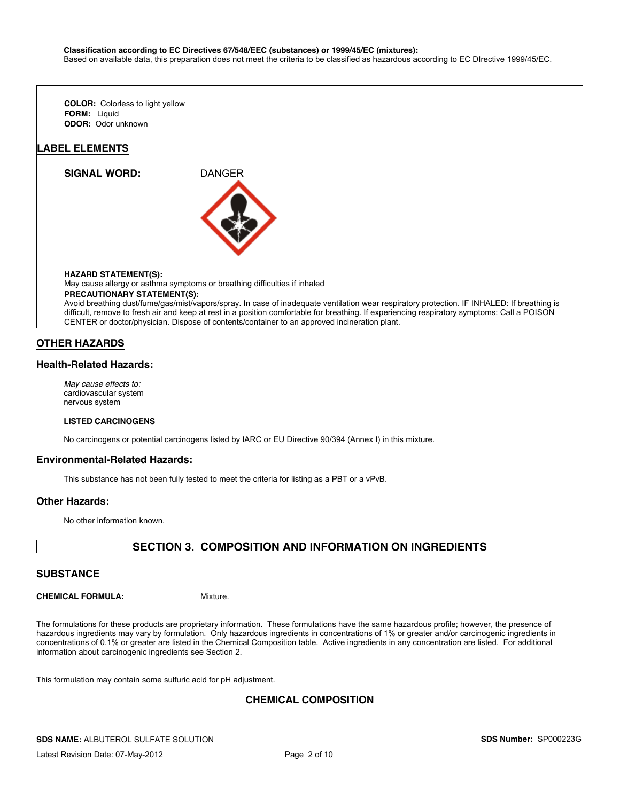#### **Classification according to EC Directives 67/548/EEC (substances) or 1999/45/EC (mixtures):**

Based on available data, this preparation does not meet the criteria to be classified as hazardous according to EC DIrective 1999/45/EC.

**FORM:** Liquid **ODOR:** Odor unknown **COLOR:** Colorless to light yellow

### **LABEL ELEMENTS**

**SIGNAL WORD:** DANGER



#### **HAZARD STATEMENT(S):**

May cause allergy or asthma symptoms or breathing difficulties if inhaled

**PRECAUTIONARY STATEMENT(S):**

Avoid breathing dust/fume/gas/mist/vapors/spray. In case of inadequate ventilation wear respiratory protection. IF INHALED: If breathing is difficult, remove to fresh air and keep at rest in a position comfortable for breathing. If experiencing respiratory symptoms: Call a POISON CENTER or doctor/physician. Dispose of contents/container to an approved incineration plant.

## **OTHER HAZARDS**

## **Health-Related Hazards:**

*May cause effects to:* cardiovascular system nervous system

#### **LISTED CARCINOGENS**

No carcinogens or potential carcinogens listed by IARC or EU Directive 90/394 (Annex I) in this mixture.

### **Environmental-Related Hazards:**

This substance has not been fully tested to meet the criteria for listing as a PBT or a vPvB.

### **Other Hazards:**

No other information known.

# **SECTION 3. COMPOSITION AND INFORMATION ON INGREDIENTS**

## **SUBSTANCE**

**CHEMICAL FORMULA:** Mixture.

The formulations for these products are proprietary information. These formulations have the same hazardous profile; however, the presence of hazardous ingredients may vary by formulation. Only hazardous ingredients in concentrations of 1% or greater and/or carcinogenic ingredients in concentrations of 0.1% or greater are listed in the Chemical Composition table. Active ingredients in any concentration are listed. For additional information about carcinogenic ingredients see Section 2.

This formulation may contain some sulfuric acid for pH adjustment.

# **CHEMICAL COMPOSITION**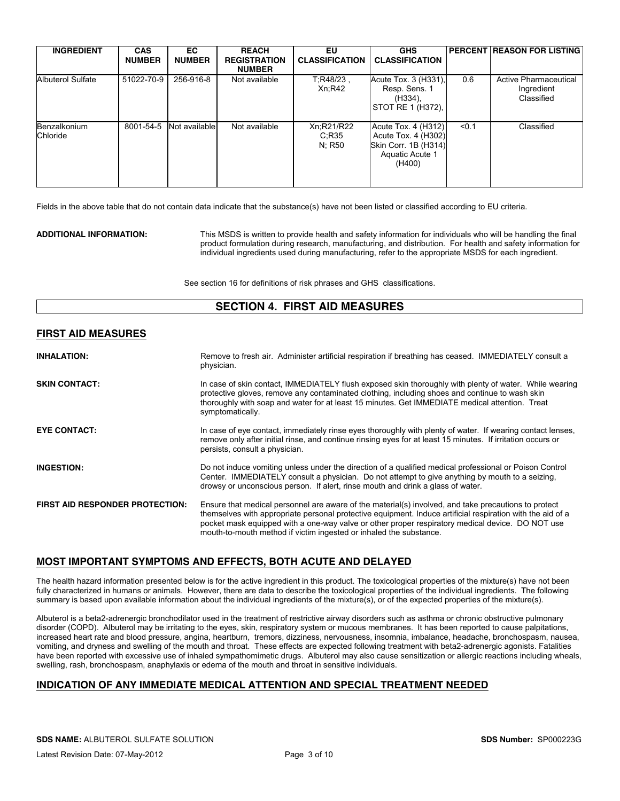| <b>INGREDIENT</b>        | <b>CAS</b><br><b>NUMBER</b> | EC.<br><b>NUMBER</b> | <b>REACH</b><br><b>REGISTRATION</b><br><b>NUMBER</b> | EU<br><b>CLASSIFICATION</b>   | <b>GHS</b><br><b>CLASSIFICATION</b>                                                             |       | <b>PERCENT REASON FOR LISTING</b>                        |
|--------------------------|-----------------------------|----------------------|------------------------------------------------------|-------------------------------|-------------------------------------------------------------------------------------------------|-------|----------------------------------------------------------|
| Albuterol Sulfate        | 51022-70-9                  | 256-916-8            | Not available                                        | $T:R48/23$ .<br>Xn; R42       | Acute Tox. 3 (H331),<br>Resp. Sens. 1<br>(H334).<br>STOT RE 1 (H372).                           | 0.6   | <b>Active Pharmaceutical</b><br>Ingredient<br>Classified |
| Benzalkonium<br>Chloride | 8001-54-5                   | Not available l      | Not available                                        | Xn;R21/R22<br>C:R35<br>N: R50 | Acute Tox. 4 (H312)<br>Acute Tox. 4 (H302)<br>Skin Corr. 1B (H314)<br>Aquatic Acute 1<br>(H400) | < 0.1 | Classified                                               |

Fields in the above table that do not contain data indicate that the substance(s) have not been listed or classified according to EU criteria.

**ADDITIONAL INFORMATION:** This MSDS is written to provide health and safety information for individuals who will be handling the final product formulation during research, manufacturing, and distribution. For health and safety information for individual ingredients used during manufacturing, refer to the appropriate MSDS for each ingredient.

See section 16 for definitions of risk phrases and GHS classifications.

# **SECTION 4. FIRST AID MEASURES**

## **FIRST AID MEASURES**

| <b>INHALATION:</b>                     | Remove to fresh air. Administer artificial respiration if breathing has ceased. IMMEDIATELY consult a<br>physician.                                                                                                                                                                                                                                                                          |
|----------------------------------------|----------------------------------------------------------------------------------------------------------------------------------------------------------------------------------------------------------------------------------------------------------------------------------------------------------------------------------------------------------------------------------------------|
| <b>SKIN CONTACT:</b>                   | In case of skin contact, IMMEDIATELY flush exposed skin thoroughly with plenty of water. While wearing<br>protective gloves, remove any contaminated clothing, including shoes and continue to wash skin<br>thoroughly with soap and water for at least 15 minutes. Get IMMEDIATE medical attention. Treat<br>symptomatically.                                                               |
| <b>EYE CONTACT:</b>                    | In case of eye contact, immediately rinse eyes thoroughly with plenty of water. If wearing contact lenses,<br>remove only after initial rinse, and continue rinsing eyes for at least 15 minutes. If irritation occurs or<br>persists, consult a physician.                                                                                                                                  |
| <b>INGESTION:</b>                      | Do not induce vomiting unless under the direction of a qualified medical professional or Poison Control<br>Center. IMMEDIATELY consult a physician. Do not attempt to give anything by mouth to a seizing.<br>drowsy or unconscious person. If alert, rinse mouth and drink a glass of water.                                                                                                |
| <b>FIRST AID RESPONDER PROTECTION:</b> | Ensure that medical personnel are aware of the material(s) involved, and take precautions to protect<br>themselves with appropriate personal protective equipment. Induce artificial respiration with the aid of a<br>pocket mask equipped with a one-way valve or other proper respiratory medical device. DO NOT use<br>mouth-to-mouth method if victim ingested or inhaled the substance. |

# **MOST IMPORTANT SYMPTOMS AND EFFECTS, BOTH ACUTE AND DELAYED**

The health hazard information presented below is for the active ingredient in this product. The toxicological properties of the mixture(s) have not been fully characterized in humans or animals. However, there are data to describe the toxicological properties of the individual ingredients. The following summary is based upon available information about the individual ingredients of the mixture(s), or of the expected properties of the mixture(s).

Albuterol is a beta2-adrenergic bronchodilator used in the treatment of restrictive airway disorders such as asthma or chronic obstructive pulmonary disorder (COPD). Albuterol may be irritating to the eyes, skin, respiratory system or mucous membranes. It has been reported to cause palpitations, increased heart rate and blood pressure, angina, heartburn, tremors, dizziness, nervousness, insomnia, imbalance, headache, bronchospasm, nausea, vomiting, and dryness and swelling of the mouth and throat. These effects are expected following treatment with beta2-adrenergic agonists. Fatalities have been reported with excessive use of inhaled sympathomimetic drugs. Albuterol may also cause sensitization or allergic reactions including wheals, swelling, rash, bronchospasm, anaphylaxis or edema of the mouth and throat in sensitive individuals.

# **INDICATION OF ANY IMMEDIATE MEDICAL ATTENTION AND SPECIAL TREATMENT NEEDED**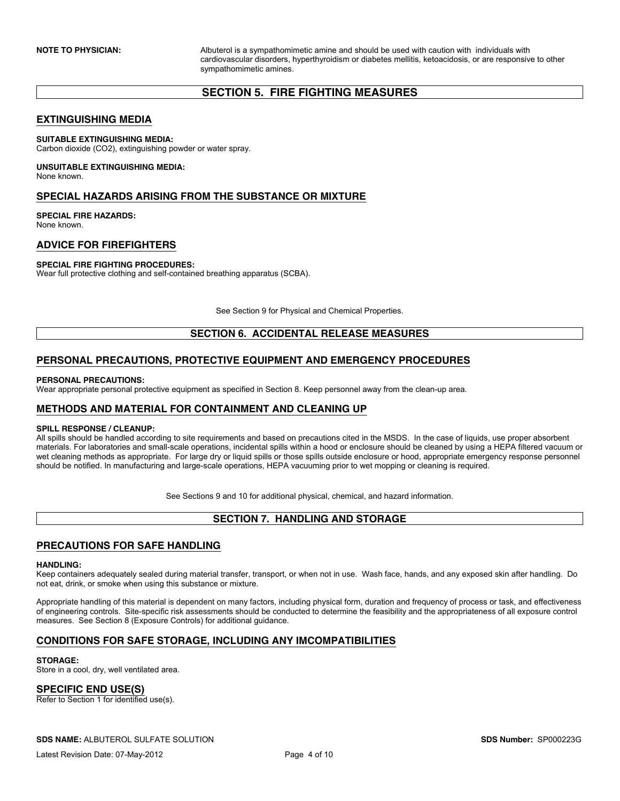**NOTE TO PHYSICIAN:** Albuterol is a sympathomimetic amine and should be used with caution with individuals with cardiovascular disorders, hyperthyroidism or diabetes mellitis, ketoacidosis, or are responsive to other sympathomimetic amines.

# **SECTION 5. FIRE FIGHTING MEASURES**

## **EXTINGUISHING MEDIA**

### **SUITABLE EXTINGUISHING MEDIA:**

Carbon dioxide (CO2), extinguishing powder or water spray.

#### **UNSUITABLE EXTINGUISHING MEDIA:** None known.

# **SPECIAL HAZARDS ARISING FROM THE SUBSTANCE OR MIXTURE**

#### **SPECIAL FIRE HAZARDS:** None known.

# **ADVICE FOR FIREFIGHTERS**

### **SPECIAL FIRE FIGHTING PROCEDURES:**

Wear full protective clothing and self-contained breathing apparatus (SCBA).

See Section 9 for Physical and Chemical Properties.

# **SECTION 6. ACCIDENTAL RELEASE MEASURES**

# **PERSONAL PRECAUTIONS, PROTECTIVE EQUIPMENT AND EMERGENCY PROCEDURES**

### **PERSONAL PRECAUTIONS:**

Wear appropriate personal protective equipment as specified in Section 8. Keep personnel away from the clean-up area.

# **METHODS AND MATERIAL FOR CONTAINMENT AND CLEANING UP**

### **SPILL RESPONSE / CLEANUP:**

All spills should be handled according to site requirements and based on precautions cited in the MSDS. In the case of liquids, use proper absorbent materials. For laboratories and small-scale operations, incidental spills within a hood or enclosure should be cleaned by using a HEPA filtered vacuum or wet cleaning methods as appropriate. For large dry or liquid spills or those spills outside enclosure or hood, appropriate emergency response personnel should be notified. In manufacturing and large-scale operations, HEPA vacuuming prior to wet mopping or cleaning is required.

See Sections 9 and 10 for additional physical, chemical, and hazard information.

# **SECTION 7. HANDLING AND STORAGE**

# **PRECAUTIONS FOR SAFE HANDLING**

#### **HANDLING:**

Keep containers adequately sealed during material transfer, transport, or when not in use. Wash face, hands, and any exposed skin after handling. Do not eat, drink, or smoke when using this substance or mixture.

Appropriate handling of this material is dependent on many factors, including physical form, duration and frequency of process or task, and effectiveness of engineering controls. Site-specific risk assessments should be conducted to determine the feasibility and the appropriateness of all exposure control measures. See Section 8 (Exposure Controls) for additional guidance.

# **CONDITIONS FOR SAFE STORAGE, INCLUDING ANY IMCOMPATIBILITIES**

### **STORAGE:**

Store in a cool, dry, well ventilated area.

## **SPECIFIC END USE(S)**

Refer to Section 1 for identified use(s).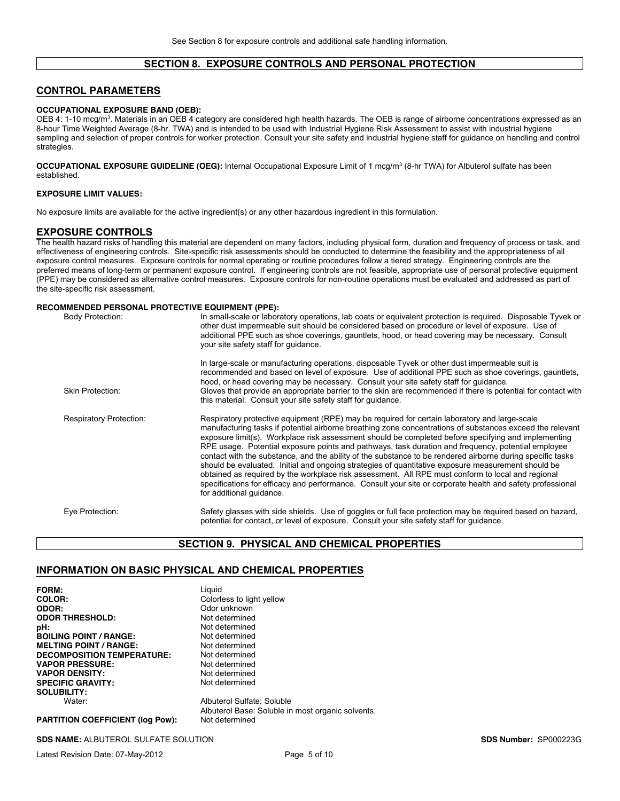# **SECTION 8. EXPOSURE CONTROLS AND PERSONAL PROTECTION**

### **CONTROL PARAMETERS**

#### **OCCUPATIONAL EXPOSURE BAND (OEB):**

OEB 4: 1-10 mcg/m3. Materials in an OEB 4 category are considered high health hazards. The OEB is range of airborne concentrations expressed as an 8-hour Time Weighted Average (8-hr. TWA) and is intended to be used with Industrial Hygiene Risk Assessment to assist with industrial hygiene sampling and selection of proper controls for worker protection. Consult your site safety and industrial hygiene staff for guidance on handling and control strategies.

**OCCUPATIONAL EXPOSURE GUIDELINE (OEG):** Internal Occupational Exposure Limit of 1 mcg/m3 (8-hr TWA) for Albuterol sulfate has been established.

### **EXPOSURE LIMIT VALUES:**

No exposure limits are available for the active ingredient(s) or any other hazardous ingredient in this formulation.

### **EXPOSURE CONTROLS**

The health hazard risks of handling this material are dependent on many factors, including physical form, duration and frequency of process or task, and effectiveness of engineering controls. Site-specific risk assessments should be conducted to determine the feasibility and the appropriateness of all exposure control measures. Exposure controls for normal operating or routine procedures follow a tiered strategy. Engineering controls are the preferred means of long-term or permanent exposure control. If engineering controls are not feasible, appropriate use of personal protective equipment (PPE) may be considered as alternative control measures. Exposure controls for non-routine operations must be evaluated and addressed as part of the site-specific risk assessment.

#### **RECOMMENDED PERSONAL PROTECTIVE EQUIPMENT (PPE):**

| <b>Body Protection:</b>        | In small-scale or laboratory operations, lab coats or equivalent protection is required. Disposable Tyvek or<br>other dust impermeable suit should be considered based on procedure or level of exposure. Use of<br>additional PPE such as shoe coverings, gauntlets, hood, or head covering may be necessary. Consult<br>your site safety staff for quidance.                                                                                                                                                                                                                                                                                                                                                                                                                                                                                                                             |
|--------------------------------|--------------------------------------------------------------------------------------------------------------------------------------------------------------------------------------------------------------------------------------------------------------------------------------------------------------------------------------------------------------------------------------------------------------------------------------------------------------------------------------------------------------------------------------------------------------------------------------------------------------------------------------------------------------------------------------------------------------------------------------------------------------------------------------------------------------------------------------------------------------------------------------------|
| Skin Protection:               | In large-scale or manufacturing operations, disposable Tyvek or other dust impermeable suit is<br>recommended and based on level of exposure. Use of additional PPE such as shoe coverings, gauntlets,<br>hood, or head covering may be necessary. Consult your site safety staff for quidance.<br>Gloves that provide an appropriate barrier to the skin are recommended if there is potential for contact with<br>this material. Consult your site safety staff for quidance.                                                                                                                                                                                                                                                                                                                                                                                                            |
| <b>Respiratory Protection:</b> | Respiratory protective equipment (RPE) may be required for certain laboratory and large-scale<br>manufacturing tasks if potential airborne breathing zone concentrations of substances exceed the relevant<br>exposure limit(s). Workplace risk assessment should be completed before specifying and implementing<br>RPE usage. Potential exposure points and pathways, task duration and frequency, potential employee<br>contact with the substance, and the ability of the substance to be rendered airborne during specific tasks<br>should be evaluated. Initial and ongoing strategies of quantitative exposure measurement should be<br>obtained as required by the workplace risk assessment. All RPE must conform to local and regional<br>specifications for efficacy and performance. Consult your site or corporate health and safety professional<br>for additional quidance. |
| Eye Protection:                | Safety glasses with side shields. Use of goggles or full face protection may be required based on hazard,<br>potential for contact, or level of exposure. Consult your site safety staff for quidance.                                                                                                                                                                                                                                                                                                                                                                                                                                                                                                                                                                                                                                                                                     |

### **SECTION 9. PHYSICAL AND CHEMICAL PROPERTIES**

### **INFORMATION ON BASIC PHYSICAL AND CHEMICAL PROPERTIES**

| FORM:<br>COLOR:<br>ODOR:<br><b>ODOR THRESHOLD:</b> | Liguid<br>Colorless to light yellow<br>Odor unknown<br>Not determined           |
|----------------------------------------------------|---------------------------------------------------------------------------------|
| pH:                                                | Not determined                                                                  |
| <b>BOILING POINT / RANGE:</b>                      | Not determined                                                                  |
| <b>MELTING POINT / RANGE:</b>                      | Not determined                                                                  |
| <b>DECOMPOSITION TEMPERATURE:</b>                  | Not determined                                                                  |
| <b>VAPOR PRESSURE:</b>                             | Not determined                                                                  |
| <b>VAPOR DENSITY:</b>                              | Not determined                                                                  |
| <b>SPECIFIC GRAVITY:</b>                           | Not determined                                                                  |
| <b>SOLUBILITY:</b>                                 |                                                                                 |
| Water:                                             | Albuterol Sulfate: Soluble<br>Albuterol Base: Soluble in most organic solvents. |
| <b>PARTITION COEFFICIENT (log Pow):</b>            | Not determined                                                                  |

**SDS NAME:** ALBUTEROL SULFATE SOLUTION **SDS Number:** SP000223G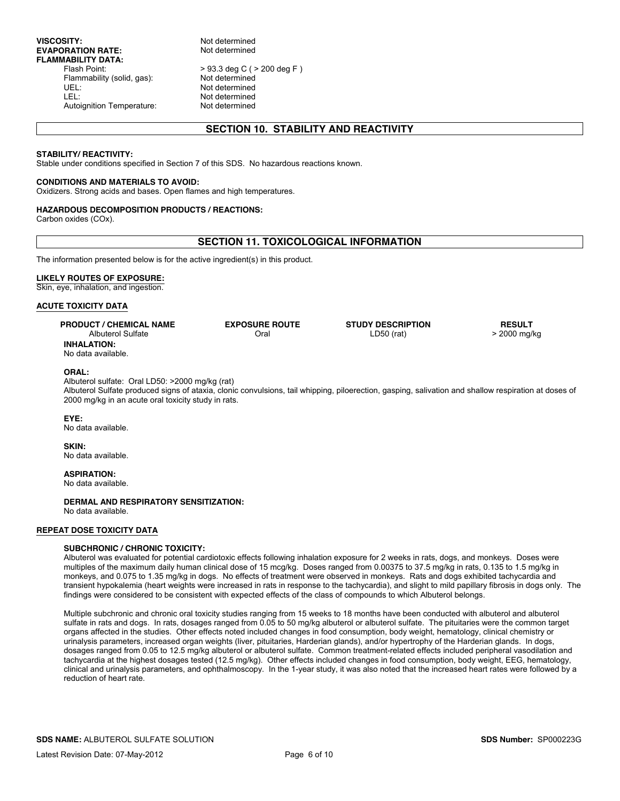> 93.3 deg C ( > 200 deg F )<br>Not determined UEL: Not determined Not determined Autoignition Temperature: Not determined

# **SECTION 10. STABILITY AND REACTIVITY**

#### **STABILITY/ REACTIVITY:**

Stable under conditions specified in Section 7 of this SDS. No hazardous reactions known.

#### **CONDITIONS AND MATERIALS TO AVOID:**

Oxidizers. Strong acids and bases. Open flames and high temperatures.

#### **HAZARDOUS DECOMPOSITION PRODUCTS / REACTIONS:**

Carbon oxides (COx).

## **SECTION 11. TOXICOLOGICAL INFORMATION**

The information presented below is for the active ingredient(s) in this product.

### **LIKELY ROUTES OF EXPOSURE:**

Skin, eye, inhalation, and ingestion.

### **ACUTE TOXICITY DATA**

| <b>PRODUCT / CHEMICAL NAME</b> | <b>EXPOSURE ROUTE</b> |
|--------------------------------|-----------------------|
| Albuterol Sulfate              | Oral                  |
| <b>INHALATION:</b>             |                       |
| No data available              |                       |

**ORAL:**

Albuterol sulfate: Oral LD50: >2000 mg/kg (rat)

Albuterol Sulfate produced signs of ataxia, clonic convulsions, tail whipping, piloerection, gasping, salivation and shallow respiration at doses of 2000 mg/kg in an acute oral toxicity study in rats.

**STUDY DESCRIPTION** LD50 (rat)

#### **EYE:**

No data available.

**SKIN:** No data available.

**ASPIRATION:** No data available.

**DERMAL AND RESPIRATORY SENSITIZATION:** No data available.

### **REPEAT DOSE TOXICITY DATA**

#### **SUBCHRONIC / CHRONIC TOXICITY:**

Albuterol was evaluated for potential cardiotoxic effects following inhalation exposure for 2 weeks in rats, dogs, and monkeys. Doses were multiples of the maximum daily human clinical dose of 15 mcg/kg. Doses ranged from 0.00375 to 37.5 mg/kg in rats, 0.135 to 1.5 mg/kg in monkeys, and 0.075 to 1.35 mg/kg in dogs. No effects of treatment were observed in monkeys. Rats and dogs exhibited tachycardia and transient hypokalemia (heart weights were increased in rats in response to the tachycardia), and slight to mild papillary fibrosis in dogs only. The findings were considered to be consistent with expected effects of the class of compounds to which Albuterol belongs.

Multiple subchronic and chronic oral toxicity studies ranging from 15 weeks to 18 months have been conducted with albuterol and albuterol sulfate in rats and dogs. In rats, dosages ranged from 0.05 to 50 mg/kg albuterol or albuterol sulfate. The pituitaries were the common target organs affected in the studies. Other effects noted included changes in food consumption, body weight, hematology, clinical chemistry or urinalysis parameters, increased organ weights (liver, pituitaries, Harderian glands), and/or hypertrophy of the Harderian glands. In dogs, dosages ranged from 0.05 to 12.5 mg/kg albuterol or albuterol sulfate. Common treatment-related effects included peripheral vasodilation and tachycardia at the highest dosages tested (12.5 mg/kg). Other effects included changes in food consumption, body weight, EEG, hematology, clinical and urinalysis parameters, and ophthalmoscopy. In the 1-year study, it was also noted that the increased heart rates were followed by a reduction of heart rate.

**RESULT** > 2000 mg/kg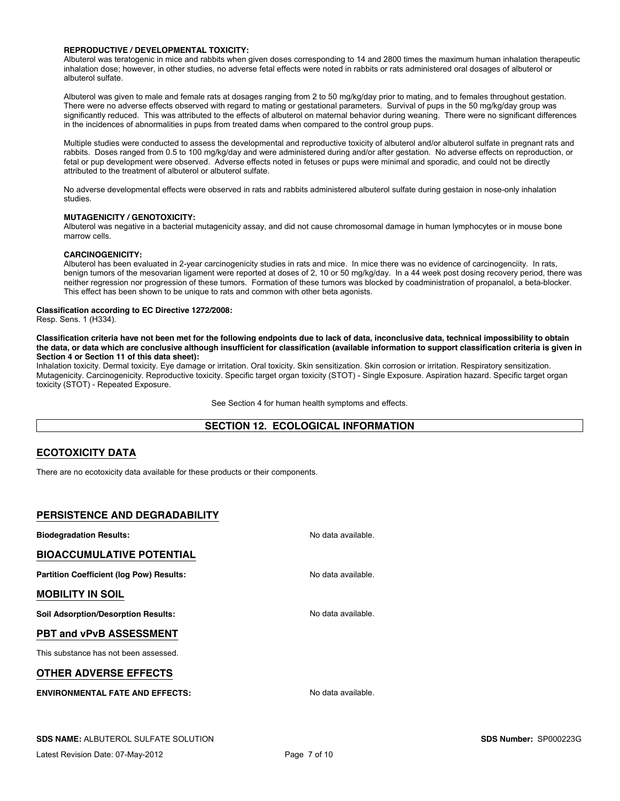### **REPRODUCTIVE / DEVELOPMENTAL TOXICITY:**

Albuterol was teratogenic in mice and rabbits when given doses corresponding to 14 and 2800 times the maximum human inhalation therapeutic inhalation dose; however, in other studies, no adverse fetal effects were noted in rabbits or rats administered oral dosages of albuterol or albuterol sulfate.

Albuterol was given to male and female rats at dosages ranging from 2 to 50 mg/kg/day prior to mating, and to females throughout gestation. There were no adverse effects observed with regard to mating or gestational parameters. Survival of pups in the 50 mg/kg/day group was significantly reduced. This was attributed to the effects of albuterol on maternal behavior during weaning. There were no significant differences in the incidences of abnormalities in pups from treated dams when compared to the control group pups.

Multiple studies were conducted to assess the developmental and reproductive toxicity of albuterol and/or albuterol sulfate in pregnant rats and rabbits. Doses ranged from 0.5 to 100 mg/kg/day and were administered during and/or after gestation. No adverse effects on reproduction, or fetal or pup development were observed. Adverse effects noted in fetuses or pups were minimal and sporadic, and could not be directly attributed to the treatment of albuterol or albuterol sulfate.

No adverse developmental effects were observed in rats and rabbits administered albuterol sulfate during gestaion in nose-only inhalation studies.

#### **MUTAGENICITY / GENOTOXICITY:**

Albuterol was negative in a bacterial mutagenicity assay, and did not cause chromosomal damage in human lymphocytes or in mouse bone marrow cells.

### **CARCINOGENICITY:**

Albuterol has been evaluated in 2-year carcinogenicity studies in rats and mice. In mice there was no evidence of carcinogenciity. In rats, benign tumors of the mesovarian ligament were reported at doses of 2, 10 or 50 mg/kg/day. In a 44 week post dosing recovery period, there was neither regression nor progression of these tumors. Formation of these tumors was blocked by coadministration of propanalol, a beta-blocker. This effect has been shown to be unique to rats and common with other beta agonists.

### **Classification according to EC Directive 1272/2008:**

Resp. Sens. 1 (H334).

**Classification criteria have not been met for the following endpoints due to lack of data, inconclusive data, technical impossibility to obtain the data, or data which are conclusive although insufficient for classification (available information to support classification criteria is given in Section 4 or Section 11 of this data sheet):**

Inhalation toxicity. Dermal toxicity. Eye damage or irritation. Oral toxicity. Skin sensitization. Skin corrosion or irritation. Respiratory sensitization. Mutagenicity. Carcinogenicity. Reproductive toxicity. Specific target organ toxicity (STOT) - Single Exposure. Aspiration hazard. Specific target organ toxicity (STOT) - Repeated Exposure.

See Section 4 for human health symptoms and effects.

## **SECTION 12. ECOLOGICAL INFORMATION**

## **ECOTOXICITY DATA**

There are no ecotoxicity data available for these products or their components.

## **PERSISTENCE AND DEGRADABILITY**

**Biodegradation Results:** No data available. **BIOACCUMULATIVE POTENTIAL Partition Coefficient (log Pow) Results:** No data available. **MOBILITY IN SOIL Soil Adsorption/Desorption Results:** No data available. **PBT and vPvB ASSESSMENT** This substance has not been assessed. **OTHER ADVERSE EFFECTS ENVIRONMENTAL FATE AND EFFECTS:** No data available.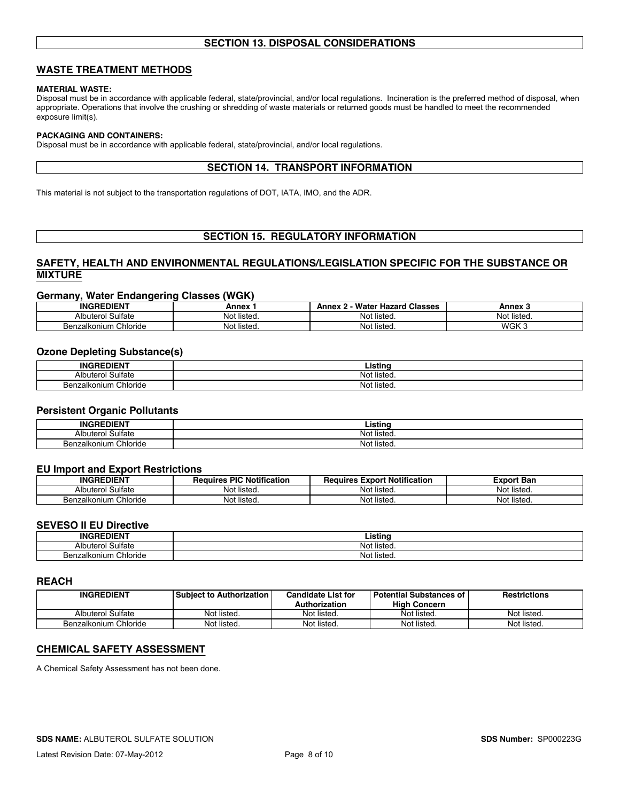# **SECTION 13. DISPOSAL CONSIDERATIONS**

# **WASTE TREATMENT METHODS**

### **MATERIAL WASTE:**

Disposal must be in accordance with applicable federal, state/provincial, and/or local regulations. Incineration is the preferred method of disposal, when appropriate. Operations that involve the crushing or shredding of waste materials or returned goods must be handled to meet the recommended exposure limit(s).

### **PACKAGING AND CONTAINERS:**

Disposal must be in accordance with applicable federal, state/provincial, and/or local regulations.

# **SECTION 14. TRANSPORT INFORMATION**

This material is not subject to the transportation regulations of DOT, IATA, IMO, and the ADR.

# **SECTION 15. REGULATORY INFORMATION**

# **SAFETY, HEALTH AND ENVIRONMENTAL REGULATIONS/LEGISLATION SPECIFIC FOR THE SUBSTANCE OR MIXTURE**

### **Germany, Water Endangering Classes (WGK)**

| <b>INGREDIENT</b>                 | Annex            | <b>Water Hazard Classes</b><br>Anney | Annex       |
|-----------------------------------|------------------|--------------------------------------|-------------|
| . Sulfate<br>Albuterol            | .<br>Not listed. | Not listed.                          | Not listeo. |
| . Chloride<br><b>Benzalkonium</b> | Not listed.      | Not listeg.                          | WGK 3       |

### **Ozone Depleting Substance(s)**

| -------<br><b>INGI</b><br>1 JIM N | <br>∟istinc        |
|-----------------------------------|--------------------|
| Sulfate<br>Albı<br>uitero'        | . .<br>Not listeo. |
| Chloride<br>Benzalkonium          | Not listea.        |

### **Persistent Organic Pollutants**

| -----<br><b>ING</b><br>JIEN    | . .<br>-8888     |
|--------------------------------|------------------|
| ulfateٹ<br>Δlh<br>⊥terc        | No<br>ำ† listeu. |
| Chloride<br>Ben<br>.izalkonium | NO.<br>listed    |

### **EU Import and Export Restrictions**

| <b>INGREDIENT</b>          | <b>PIC Notification</b><br>Requires, | <b>Export Notification</b><br>Requires | Export Ban  |
|----------------------------|--------------------------------------|----------------------------------------|-------------|
| Sulfate<br>Albuterol       | Not listed.                          | .<br>Not listed.                       | Not listea. |
| ، Chloride<br>Benzalkonium | Not listed.                          | Not listed.                            | Not listed. |

# **SEVESO II EU Directive**

| ---------------------           |                         |  |  |  |
|---------------------------------|-------------------------|--|--|--|
| <b>DIENT</b><br><b>INGRE</b>    | Listino                 |  |  |  |
| Sulfate<br>alb:<br>uterol       | $\cdots$<br>Not listeu. |  |  |  |
| Chloride<br>izalkonium<br>- Ber | <br>. Not listeu        |  |  |  |

#### **REACH**

| <b>INGREDIENT</b>     | l Subiect to Authorization | Candidate List for   | <b>Potential Substances of</b> | <b>Restrictions</b> |
|-----------------------|----------------------------|----------------------|--------------------------------|---------------------|
|                       |                            | <b>Authorization</b> | <b>High Concern</b>            |                     |
| Albuterol Sulfate     | Not listed.                | Not listed.          | Not listed.                    | Not listed.         |
| Benzalkonium Chloride | Not listed.                | Not listed.          | Not listed.                    | Not listed.         |

# **CHEMICAL SAFETY ASSESSMENT**

A Chemical Safety Assessment has not been done.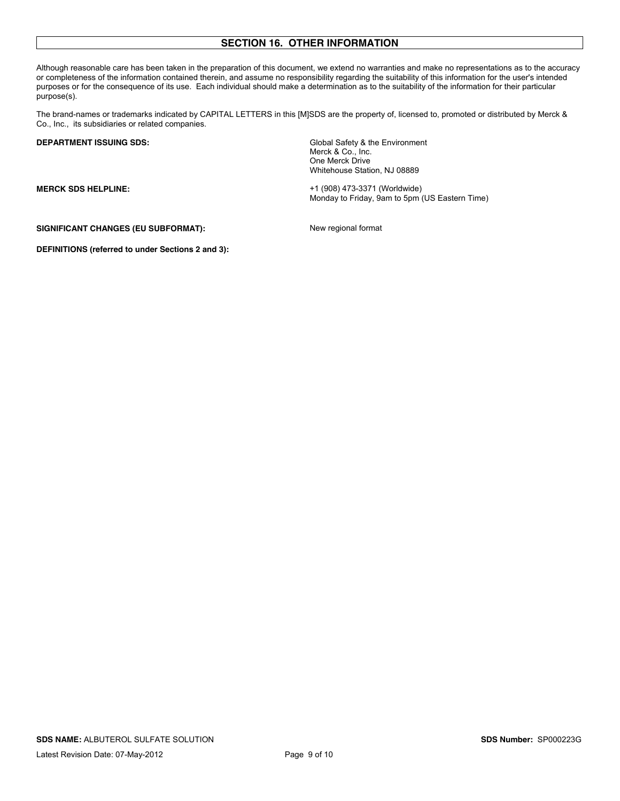# **SECTION 16. OTHER INFORMATION**

Although reasonable care has been taken in the preparation of this document, we extend no warranties and make no representations as to the accuracy or completeness of the information contained therein, and assume no responsibility regarding the suitability of this information for the user's intended purposes or for the consequence of its use. Each individual should make a determination as to the suitability of the information for their particular purpose(s).

The brand-names or trademarks indicated by CAPITAL LETTERS in this [M]SDS are the property of, licensed to, promoted or distributed by Merck & Co., Inc., its subsidiaries or related companies.

**DEPARTMENT ISSUING SDS:** Global Safety & the Environment Merck & Co., Inc. One Merck Drive Whitehouse Station, NJ 08889

**MERCK SDS HELPLINE:** +1 (908) 473-3371 (Worldwide) Monday to Friday, 9am to 5pm (US Eastern Time)

SIGNIFICANT CHANGES (EU SUBFORMAT): New regional format

**DEFINITIONS (referred to under Sections 2 and 3):**